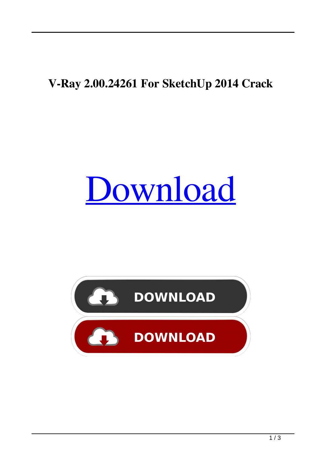## **V-Ray 2.00.24261 For SketchUp 2014 Crack**

## [Download](http://evacdir.com/blending.Vi1SYXkgMi4wMC4yNDI2MSBGb3IgU2tldGNoVXAgMjAxNCBjcmFjawVi1/crowing/ZG93bmxvYWR8YTIyTm00NWZId3hOalV5TnpRd09EWTJmSHd5TlRjMGZId29UU2tnY21WaFpDMWliRzluSUZ0R1lYTjBJRWRGVGww.marmalade/elation/folded/mira/steamships)

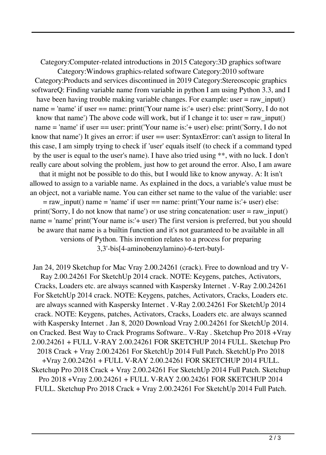Category:Computer-related introductions in 2015 Category:3D graphics software Category:Windows graphics-related software Category:2010 software Category:Products and services discontinued in 2019 Category:Stereoscopic graphics softwareQ: Finding variable name from variable in python I am using Python 3.3, and I have been having trouble making variable changes. For example: user  $=$  raw input() name = 'name' if user == name: print('Your name is:'+ user) else: print('Sorry, I do not know that name') The above code will work, but if I change it to: user  $=$  raw input() name = 'name' if user == user: print('Your name is:'+ user) else: print('Sorry, I do not know that name') It gives an error: if user == user: SyntaxError: can't assign to literal In this case, I am simply trying to check if 'user' equals itself (to check if a command typed by the user is equal to the user's name). I have also tried using \*\*, with no luck. I don't really care about solving the problem, just how to get around the error. Also, I am aware that it might not be possible to do this, but I would like to know anyway. A: It isn't allowed to assign to a variable name. As explained in the docs, a variable's value must be an object, not a variable name. You can either set name to the value of the variable: user  $=$  raw\_input() name = 'name' if user == name: print('Your name is:'+ user) else: print('Sorry, I do not know that name') or use string concatenation: user = raw\_input() name = 'name' print('Your name is:'+ user) The first version is preferred, but you should be aware that name is a builtin function and it's not guaranteed to be available in all versions of Python. This invention relates to a process for preparing 3,3'-bis[4-aminobenzylamino)-6-tert-butyl-

Jan 24, 2019 Sketchup for Mac Vray 2.00.24261 (crack). Free to download and try V-Ray 2.00.24261 For SketchUp 2014 crack. NOTE: Keygens, patches, Activators, Cracks, Loaders etc. are always scanned with Kaspersky Internet . V-Ray 2.00.24261 For SketchUp 2014 crack. NOTE: Keygens, patches, Activators, Cracks, Loaders etc. are always scanned with Kaspersky Internet . V-Ray 2.00.24261 For SketchUp 2014 crack. NOTE: Keygens, patches, Activators, Cracks, Loaders etc. are always scanned with Kaspersky Internet . Jan 8, 2020 Download Vray 2.00.24261 for SketchUp 2014. on Cracked. Best Way to Crack Programs Software.. V-Ray . Sketchup Pro 2018 +Vray 2.00.24261 + FULL V-RAY 2.00.24261 FOR SKETCHUP 2014 FULL. Sketchup Pro 2018 Crack + Vray 2.00.24261 For SketchUp 2014 Full Patch. SketchUp Pro 2018 +Vray 2.00.24261 + FULL V-RAY 2.00.24261 FOR SKETCHUP 2014 FULL. Sketchup Pro 2018 Crack + Vray 2.00.24261 For SketchUp 2014 Full Patch. Sketchup Pro 2018 +Vray 2.00.24261 + FULL V-RAY 2.00.24261 FOR SKETCHUP 2014 FULL. Sketchup Pro 2018 Crack + Vray 2.00.24261 For SketchUp 2014 Full Patch.